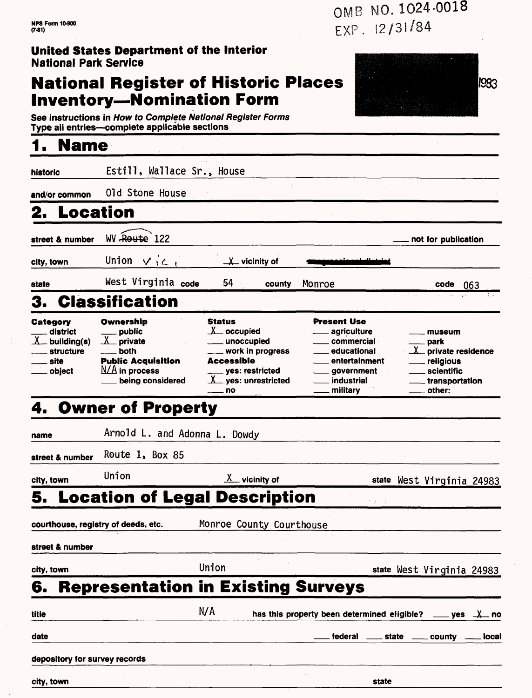### **United States Department of the Interior** National Park Service

### **National Register of Historic Places Inventory-Nomination Form**

1983

See instructions in How to Complete National Register Forms Type all entries-complete applicable sections

### **1. Name**

historic Estill, Wallace Sr., House **and/or common** Old Stone House **2. Location street & number** WV-Reutse 122 **not for publication city, town** Union  $\vee$   $\downarrow$   $\subset$   $\downarrow$   $\qquad$   $\perp$  vicinity of

**state** West Virginia code 54 **code 063**

# 3. Classification

| <b>Category</b><br><u>__</u> _ district<br>$X$ building(s) | Ownership<br>____ public<br>$X$ private | <b>Status</b><br>occupied<br>unoccupied | <b>Present Use</b><br><u>_</u> ___ agriculture<br>. commercial | museum<br>___ park        |
|------------------------------------------------------------|-----------------------------------------|-----------------------------------------|----------------------------------------------------------------|---------------------------|
| <u>__</u> ___ structure                                    | $\equiv$ both                           | $\equiv$ work in progress               | educational                                                    | $X$ private residence     |
| <u>__</u> __ site                                          | <b>Public Acquisition</b>               | <b>Accessible</b>                       | entertainment                                                  | ___ religious             |
| obiect                                                     | $N/A$ in process                        | ____ yes: restricted                    | ____ government                                                | . scientific              |
|                                                            | being considered                        | X yes: unrestricted                     | industrial                                                     | <u>_</u> __transportation |
|                                                            |                                         | —— no                                   | military                                                       | $\equiv$ other:           |

## 4. Owner of Property

| name                          | Arnold L. and Adonna L. Dowdy       |                                         |                                                             |       |                                              |  |
|-------------------------------|-------------------------------------|-----------------------------------------|-------------------------------------------------------------|-------|----------------------------------------------|--|
| street & number               | Route $1$ , Box 85                  |                                         |                                                             |       |                                              |  |
| city, town                    | Union                               | $X$ vicinity of                         |                                                             |       | state West Virginia 24983                    |  |
|                               |                                     | <b>5. Location of Legal Description</b> |                                                             |       |                                              |  |
|                               | courthouse, registry of deeds, etc. | Monroe County Courthouse                |                                                             |       |                                              |  |
| street & number               |                                     |                                         |                                                             |       |                                              |  |
| city, town                    |                                     | Union                                   |                                                             |       | state West Virginia 24983                    |  |
| 6.                            |                                     |                                         | <b>Representation in Existing Surveys</b>                   |       |                                              |  |
| titie                         |                                     | N/A                                     | has this property been determined eligible? ____ yes _X_ no |       |                                              |  |
| date                          |                                     |                                         |                                                             |       | federal _____ state _____ county _____ local |  |
| depository for survey records |                                     |                                         |                                                             |       |                                              |  |
| city, town                    |                                     |                                         |                                                             | state |                                              |  |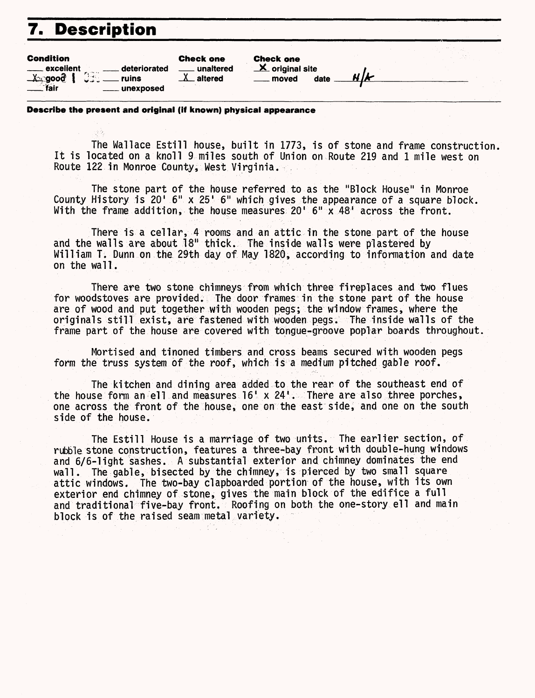## **7. Description**

| <b>Condition</b><br>excellent<br>deteriorated<br>$\frac{X}{\sqrt{2}}$ rair<br>计一进行设<br>ruins<br>unexposed | <b>Check one</b><br>unaltered<br>. altered | <b>Check one</b><br>$\mathbf{X}$ original site<br>date<br>moved | שו וב |  |
|-----------------------------------------------------------------------------------------------------------|--------------------------------------------|-----------------------------------------------------------------|-------|--|
|                                                                                                           |                                            |                                                                 |       |  |

#### **Describe the present and original (if known) physical appearance**

The Wallace Esti11 house, built in 1773, is of stone and frame construction It is located on a knoll 9 miles south of Union on Route 219 and 1 mile west on Route 122 in Monroe County, West Virginia.

The stone part of the house referred to as the "Block House" in Monroe County History is 20' 6" x 25' 6" which gives the appearance of a square block. With the frame addition, the house measures 20' 6" x 48' across the front.

There is a cellar, 4 rooms and an attic in the stone part of the house and the walls are about 18" thick. The inside walls were plastered by William T. Dunn on the 29th day of May 1820, according to information and date on the wall.

There are two stone chimneys from which three fireplaces and two flues for woodstoves are provided. The door frames in the stone part of the house are of wood and put together with wooden pegs; the window frames, where the originals still exist, are fastened with wooden pegs. The inside walls of the frame part of the house are covered with tongue-groove poplar boards throughout.

Mortised and tinoned timbers and cross beams secured with wooden pegs form the truss system of the roof, which is a medium pitched gable roof.

The kitchen and dining area added to the rear of the southeast end of the house form an ell and measures  $16<sup>1</sup> \times 24<sup>1</sup>$ . There are also three porches, one across the front of the house, one on the east side, and one on the south side of the house.

The Estill House is a marriage of two units. The earlier section, of rubble stone construction, features a three-bay front with double-hung windows and 6/6-1ight sashes. A substantial exterior and chimney dominates the end wall. The gable, bisected by the chimney, is pierced by two small square attic windows. The two-bay clapboarded portion of the house, with its own exterior end chimney of stone, gives the main block of the edifice a full and traditional five-bay front. Roofing on both the one-story ell and main block is of the raised seam metal variety.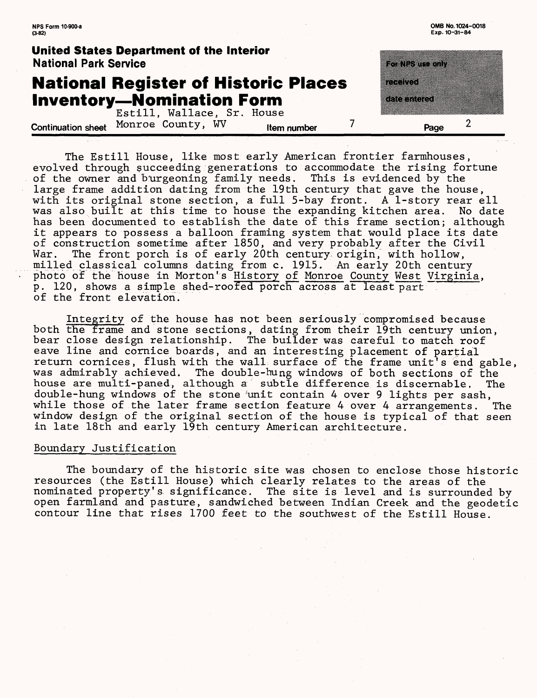| $(3-82)$                                                                        | Exp. 10-31-84      |
|---------------------------------------------------------------------------------|--------------------|
| <b>United States Department of the Interior</b><br><b>National Park Service</b> |                    |
| <b>National Register of Historic Places</b><br><b>Inventory-Nomination Form</b> | ethnik<br>raantaan |
| Estill, Wallace, Sr. House                                                      |                    |
| Monroe County, WV<br><b>Continuation sheet</b><br>Item number                   | Page               |

**NFS Form 10-900-a 0MB No. 1024-0018** 

The Estill House, like most early American frontier farmhouses, evolved through succeeding generations to accommodate the rising fortune of the owner and b'urgeoning family needs. This is evidenced by the large frame addition dating from the 19th century that gave the house, with its original stone section, a full 5-bay front. A 1-story rear ell was also built at this time to house the expanding kitchen area. No date has been documented to establish the date of this frame section; although it appears to possess a balloon framing system that would place its date of construction sometime after 1850, and very probably after the Civil War. The front porch is of early 20th century origin, with hollow, milled classical columns dating from c. 1915. An early 20th century photo of the house in Morton's <u>History of Monroe County West Virginia</u>, p. 120, shows a simple shed-roofed porch across at least part of the front elevation.

Integrity of the house has not been seriously compromised because both the frame and stone sections, dating from their 19th century union, bear close design relationship. The builder was careful to match roof eave line and cornice boards, and an interesting placement of partial return cornices, flush with the wall surface of the frame unit's end gable, was admirably achieved. The double-hung windows of both sections of the house are multi-paned, although  $a^{\prime}$  subtle difference is discernable. The double-hung windows of the stone 'unit contain 4 over 9 lights per sash, while those of the later frame section feature 4 over 4 arrangements. The window design of the original section of the house is typical of that seen in late 18th and early 19th century American architecture.

#### Boundary Justification

The boundary of the historic site was chosen to enclose those historic resources (the Estill House) which clearly relates to the areas of the nominated property's significance. The site is level and is surrounded by open farmland and pasture, sandwiched between Indian Creek and the geodetic contour line that rises 1700 feet to the southwest of the Estill House.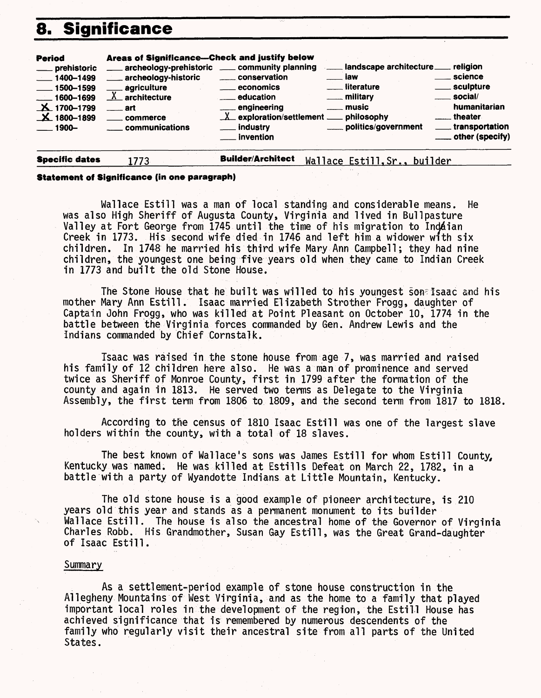### **8. Significance**

| <b>Period</b><br>___ prehistoric<br>$-1400 - 1499$<br>$\frac{1}{2}$ 1500-1599<br>$-1600 - 1699$<br>$\textbf{X}$ 1700-1799<br>$\mathbf{X}$ 1800-1899<br>$\equiv$ 1900- | Areas of Significance-Check and justify below<br>___ archeology-historic<br><b>agricuiture</b><br>$X$ architecture<br>$\equiv$ art<br><u>__</u> __ commerce<br>communications | archeology-prehistoric __ community planning<br>_____ conservation<br><u>_</u> economics<br><u>_</u> ____ education<br>____ engineering<br>$\underline{\lambda}$ exploration/settlement __ philosophy<br><sub>___</sub> __ industry<br>$\_$ invention | landscape architecture ____ religion<br>. iaw<br><u>__</u> literature<br><u>_</u> ___ military<br><u>_</u> __ music<br>politics/government | . science<br>____ sculpture<br>___ social/<br>humanitarian<br><u>__</u> __ theater<br><u>__</u> __ transportation<br>____ other (specify) |
|-----------------------------------------------------------------------------------------------------------------------------------------------------------------------|-------------------------------------------------------------------------------------------------------------------------------------------------------------------------------|-------------------------------------------------------------------------------------------------------------------------------------------------------------------------------------------------------------------------------------------------------|--------------------------------------------------------------------------------------------------------------------------------------------|-------------------------------------------------------------------------------------------------------------------------------------------|
|-----------------------------------------------------------------------------------------------------------------------------------------------------------------------|-------------------------------------------------------------------------------------------------------------------------------------------------------------------------------|-------------------------------------------------------------------------------------------------------------------------------------------------------------------------------------------------------------------------------------------------------|--------------------------------------------------------------------------------------------------------------------------------------------|-------------------------------------------------------------------------------------------------------------------------------------------|

**Specific dates** 1773 **Builder/Architect** Wallace Estill, Sr., builder

#### **Statement of Significance (in one paragraph)**

Wallace Estill was a man of local standing and considerable means. He was also High Sheriff of Augusta County, Virginia and lived in Bullpasture Valley at Fort George from 1745 until the time of his migration to Inddian Creek in 1773. His second wife died in 1746 and left him a widower with six children. In 1748 he married his third wife Mary Ann Campbell; they had nine children, the youngest one being five years old when they came to Indian Creek in 1773 and built the old Stone House.

The Stone House that he built was willed to his youngest son^Isaac and his mother Mary Ann Estill. Isaac married Elizabeth Strother Frogg, daughter of Captain John Frogg, who was killed at Point Pleasant on October 10, 1774 in the battle between the Virginia forces commanded by Gen. Andrew Lewis and the Indians commanded by Chief Cornstalk.

Isaac was raised in the stone house from age 7, was married and raised his family of 12 children here also. He was a man of prominence and served twice as Sheriff of Monroe County, first in 1799 after the formation of the county and again in 1813. He served two terms as Delegate to the Virginia Assembly, the first term from 1806 to 1809, and the second term from 1817 to 1818

According to the census of 1810 Isaac Esti11 was one of the largest slave holders within the county, with a total of 18 slaves.

The best known of Wallace's sons was James Estill for whom Esti11 County, Kentucky was named. He was killed at Estills Defeat on March 22, 1782, in a battle with a party of Wyandotte Indians at Little Mountain, Kentucky.

The old stone house is a good example of pioneer architecture, is 210 years old this year and stands as a permanent monument to its builder Wallace Estill. The house is also the ancestral home of the Governor of Virginia Charles Robb. His Grandmother, Susan Gay Estill, was the Great Grand-daughter of Isaac Esti11.

#### Summary

As a settlement-period example of stone house construction in the Allegheny Mountains of West Virginia, and as the home to a family that played important local roles in the development of the region, the Estill House has achieved significance that is remembered by numerous descendents of the family who regularly visit their ancestral site from all parts of the United States.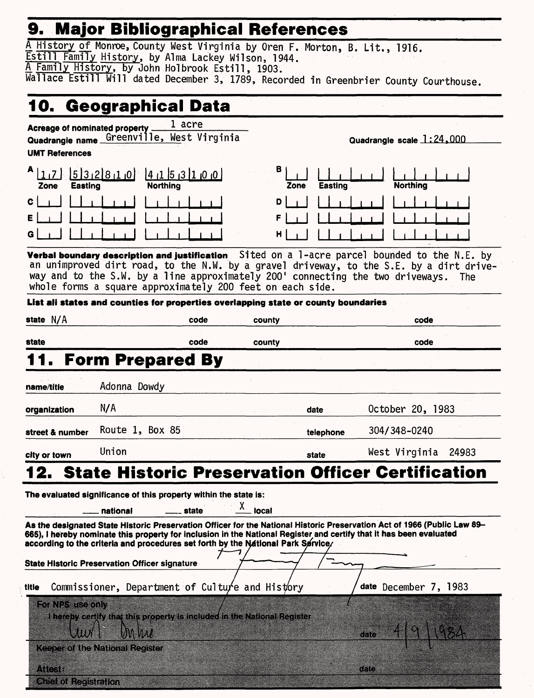# **9. Major Bibliographical References\_\_\_\_\_\_\_\_\_\_**

|                        |                                                      | 9. major bibliographical References                                                                     |            |                        |                                                                                                                                                                                                                                                 |
|------------------------|------------------------------------------------------|---------------------------------------------------------------------------------------------------------|------------|------------------------|-------------------------------------------------------------------------------------------------------------------------------------------------------------------------------------------------------------------------------------------------|
|                        |                                                      | A History of Monroe, County West Virginia by Oren F. Morton, B. Lit., 1916.                             |            |                        |                                                                                                                                                                                                                                                 |
|                        |                                                      | Estill Family History, by Alma Lackey Wilson, 1944.<br>A Family History, by John Holbrook Estill, 1903. |            |                        |                                                                                                                                                                                                                                                 |
|                        |                                                      |                                                                                                         |            |                        | Wallace Estill Will dated December 3, 1789, Recorded in Greenbrier County Courthouse.                                                                                                                                                           |
|                        |                                                      |                                                                                                         |            |                        |                                                                                                                                                                                                                                                 |
|                        |                                                      | 10. Geographical Data                                                                                   |            |                        |                                                                                                                                                                                                                                                 |
|                        | Acreage of nominated property.                       | 1 acre                                                                                                  |            |                        |                                                                                                                                                                                                                                                 |
|                        |                                                      | Quadrangle name Greenville, West Virginia                                                               |            |                        | Quadrangle scale 1:24,000                                                                                                                                                                                                                       |
| <b>UMT References</b>  |                                                      |                                                                                                         |            |                        |                                                                                                                                                                                                                                                 |
| $A$ <sub>11</sub> $Z$  | 532810                                               |                                                                                                         | в.         |                        |                                                                                                                                                                                                                                                 |
| <b>Easting</b><br>Zone |                                                      | 141513100<br><b>Northing</b>                                                                            |            | <b>Easting</b><br>Zone | <b>Northing</b>                                                                                                                                                                                                                                 |
| C                      |                                                      |                                                                                                         | D          |                        |                                                                                                                                                                                                                                                 |
|                        |                                                      |                                                                                                         | F          |                        |                                                                                                                                                                                                                                                 |
|                        |                                                      |                                                                                                         | н          |                        |                                                                                                                                                                                                                                                 |
|                        |                                                      |                                                                                                         |            |                        |                                                                                                                                                                                                                                                 |
|                        |                                                      |                                                                                                         |            |                        | Verbal boundary description and justification Sited on a 1-acre parcel bounded to the N.E. by                                                                                                                                                   |
|                        |                                                      |                                                                                                         |            |                        | an unimproved dirt road, to the N.W. by a gravel driveway, to the S.E. by a dirt drive-<br>way and to the S.W. by a line approximately 200' connecting the two driveways.<br><b>The</b>                                                         |
|                        |                                                      | whole forms a square approximately 200 feet on each side.                                               |            |                        |                                                                                                                                                                                                                                                 |
|                        |                                                      | List ali states and counties for properties overlapping state or county boundaries                      |            |                        |                                                                                                                                                                                                                                                 |
| state $N/A$            |                                                      | code                                                                                                    | county     |                        | code                                                                                                                                                                                                                                            |
|                        |                                                      |                                                                                                         |            |                        |                                                                                                                                                                                                                                                 |
| state                  |                                                      | code                                                                                                    | county     |                        | code                                                                                                                                                                                                                                            |
|                        | <b>Form Prepared By</b>                              |                                                                                                         |            |                        |                                                                                                                                                                                                                                                 |
|                        |                                                      |                                                                                                         |            |                        |                                                                                                                                                                                                                                                 |
| name/title             | Adonna Dowdy                                         |                                                                                                         |            |                        |                                                                                                                                                                                                                                                 |
| organization           | N/A                                                  |                                                                                                         |            | date                   | October 20, 1983                                                                                                                                                                                                                                |
| street & number        | Route 1, Box 85                                      |                                                                                                         |            | telephone              | 304/348-0240                                                                                                                                                                                                                                    |
|                        |                                                      |                                                                                                         |            |                        |                                                                                                                                                                                                                                                 |
| city or town           | Union                                                |                                                                                                         |            | state                  | West Virginia<br>24983                                                                                                                                                                                                                          |
| 12.                    |                                                      |                                                                                                         |            |                        | <b>State Historic Preservation Officer Certification</b>                                                                                                                                                                                        |
|                        |                                                      | The evaluated significance of this property within the state is:                                        |            |                        |                                                                                                                                                                                                                                                 |
|                        |                                                      | state                                                                                                   | х<br>local |                        |                                                                                                                                                                                                                                                 |
|                        | national                                             |                                                                                                         |            |                        |                                                                                                                                                                                                                                                 |
|                        |                                                      |                                                                                                         |            |                        | As the designated State Historic Preservation Officer for the National Historic Preservation Act of 1966 (Public Law 89-<br>665), I hereby nominate this property for inclusion in the National Register and certify that it has been evaluated |
|                        |                                                      | according to the criteria and procedures set forth by the National Park Service/                        |            |                        |                                                                                                                                                                                                                                                 |
|                        | <b>State Historic Preservation Officer signature</b> |                                                                                                         |            |                        |                                                                                                                                                                                                                                                 |
|                        |                                                      |                                                                                                         |            |                        |                                                                                                                                                                                                                                                 |
| title                  |                                                      | Commissioner, Department of Culture and History                                                         |            |                        | date December 7, 1983                                                                                                                                                                                                                           |
| For NPS use only       |                                                      |                                                                                                         |            |                        |                                                                                                                                                                                                                                                 |
|                        |                                                      | I hereby certify that this property is included in the National Register                                |            |                        |                                                                                                                                                                                                                                                 |
| JU.                    | mwu                                                  |                                                                                                         |            |                        | dale                                                                                                                                                                                                                                            |
|                        | <b>Keeper of the National Register</b>               |                                                                                                         |            |                        |                                                                                                                                                                                                                                                 |
| MCSE                   |                                                      |                                                                                                         |            |                        |                                                                                                                                                                                                                                                 |
|                        |                                                      |                                                                                                         |            |                        | ano                                                                                                                                                                                                                                             |